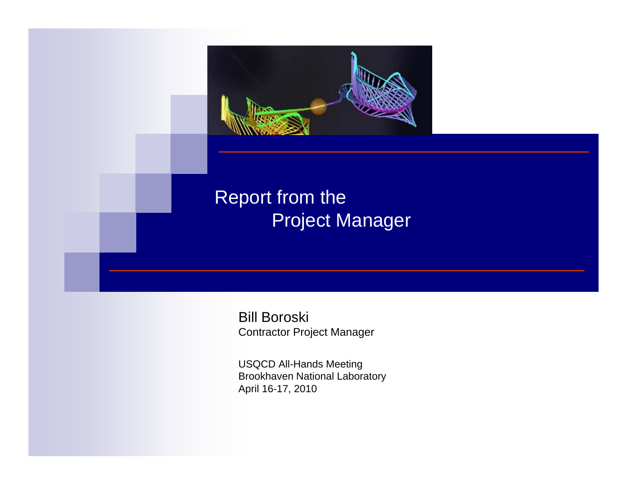

Bill Boroski Contractor Project Manager

USQCD All-Hands Meeting Brookhaven National Laboratory April 16-17, 2010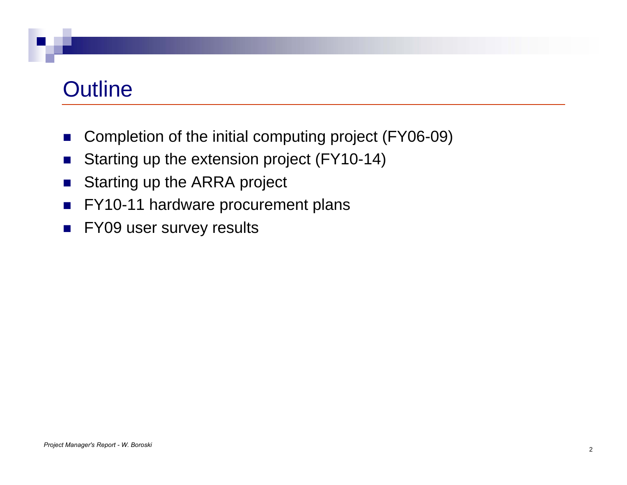## **Outline**

- $\mathcal{C}^{\mathcal{A}}$ Completion of the initial computing project (FY06-09)
- $\mathcal{L}_{\mathcal{A}}$ Starting up the extension project (FY10-14)
- $\mathcal{L}_{\mathcal{A}}$ Starting up the ARRA project
- $\mathcal{L}_{\mathcal{A}}$ FY10-11 hardware procurement plans
- $\mathcal{L}_{\mathcal{A}}$ FY09 user survey results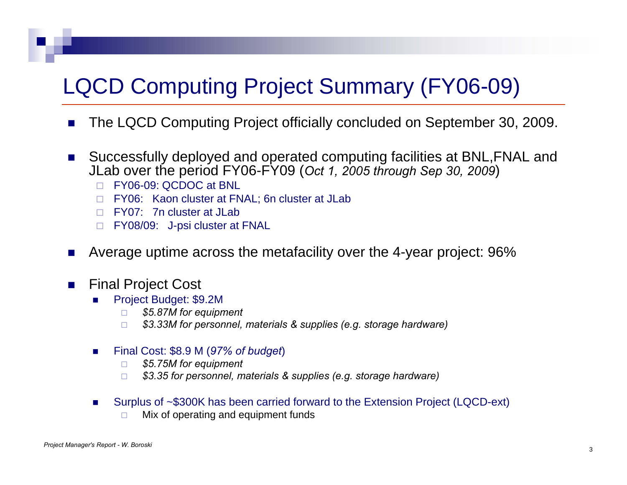# LQCD Computing Project Summary (FY06-09)

- $\mathbf{r}$ The LQCD Computing Project officially concluded on September 30, 2009.
- $\sim 100$  Successfully deployed and operated computing facilities at BNL,FNAL and JLab over the period FY06-FY09 (*Oct 1, 2005 through Sep 30, 2009*)
	- FY06-09: QCDOC at BNL
	- □ FY06: Kaon cluster at FNAL; 6n cluster at JLab
	- $\Box$  FY07: 7n cluster at JLab
	- □ FY08/09: J-psi cluster at FNAL
- a s Average uptime across the metafacility over the 4-year project: 96%
- $\mathcal{L}_{\rm{max}}$  Final Project Cost
	- Ξ Project Budget: \$9.2M
		- $\Box$ *\$5.87M for equipment*
		- $\Box$ *\$3.33M for personnel, materials & supplies (e.g. storage hardware)*
	- $\mathcal{L}_{\mathcal{A}}$  Final Cost: \$8.9 M (*97% of budget*)
		- $\Box$ *\$5.75M for equipment*
		- $\Box$ *\$3.35 for personnel, materials & supplies (e.g. storage hardware)*
	- Г Surplus of ~\$300K has been carried forward to the Extension Project (LQCD-ext)
		- $\Box$ Mix of operating and equipment funds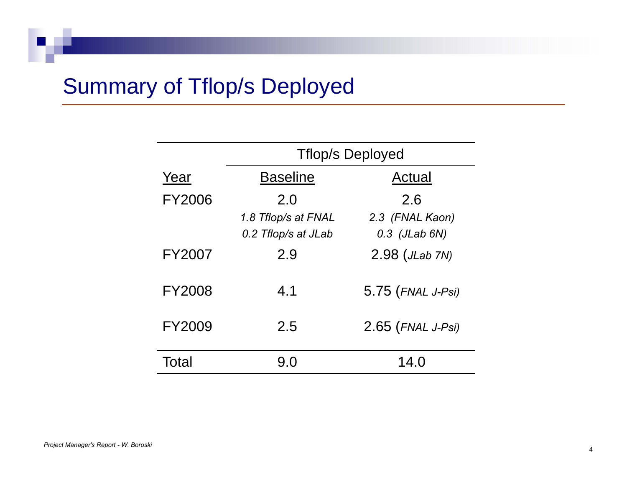# Summary of Tflop/s Deployed

|               | <b>Trilop/s Deployed</b>                          |                                           |  |  |
|---------------|---------------------------------------------------|-------------------------------------------|--|--|
| Year          | <b>Baseline</b>                                   | Actual                                    |  |  |
| <b>FY2006</b> | 2.0<br>1.8 Tflop/s at FNAL<br>0.2 Tflop/s at JLab | 2.6<br>2.3 (FNAL Kaon)<br>$0.3$ (JLab 6N) |  |  |
| <b>FY2007</b> | 2.9                                               | $2.98$ (JLab 7N)                          |  |  |
| <b>FY2008</b> | 4.1                                               | 5.75 (FNAL J-Psi)                         |  |  |
| <b>FY2009</b> | 2.5                                               | $2.65$ (FNAL J-Psi)                       |  |  |
| Total         | 9.0                                               | 14.0                                      |  |  |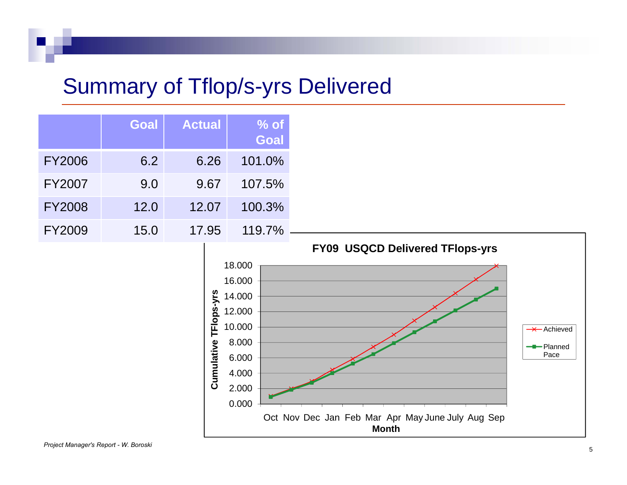## Summary of Tflop/s-yrs Delivered

|               | <b>Goal</b> | <b>Actual</b> | $%$ of<br><b>Goal</b> |
|---------------|-------------|---------------|-----------------------|
| <b>FY2006</b> | 6.2         | 6.26          | 101.0%                |
| <b>FY2007</b> | 9.0         | 9.67          | 107.5%                |
| <b>FY2008</b> | 12.0        | 12.07         | 100.3%                |
| <b>FY2009</b> | 15.0        | 17.95         | 119.7%                |

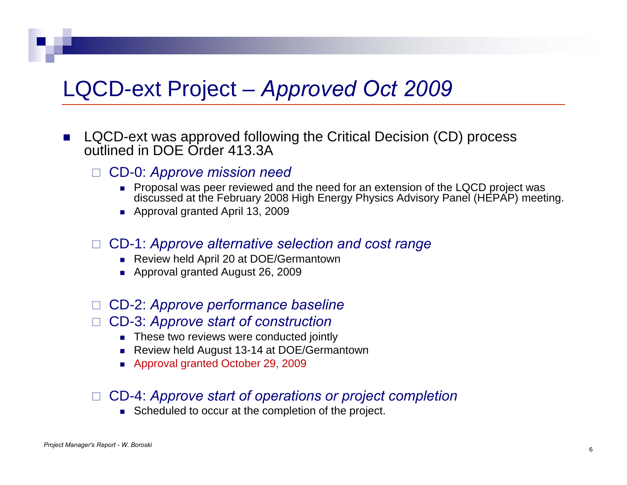## LQCD-ext Project – *Approved* Oct 2009

- $\mathcal{L}_{\mathcal{A}}$  LQCD-ext was approved following the Critical Decision (CD) process outlined in DOE Order 413.3A
	- $\Box$  CD-0: *Approve mission need*
		- Proposal was peer reviewed and the need for an extension of the LQCD project was discussed at the February 2008 High Energy Physics Advisory Panel (HEPAP) meeting.
		- Approval granted April 13, 2009

#### CD-1: *Approve alternative selection and cost range*

- Review held April 20 at DOE/Germantown
- Approval granted August 26, 2009

#### CD-2: *Approve performance baseline*

#### CD-3: *Approve start of construction*

- $\blacksquare$  These two reviews were conducted jointly
- Review held August 13-14 at DOE/Germantown
- Approval granted October 29, 2009

#### CD 4: *Approve start of operations or project completion* CD-4:

Scheduled to occur at the completion of the project.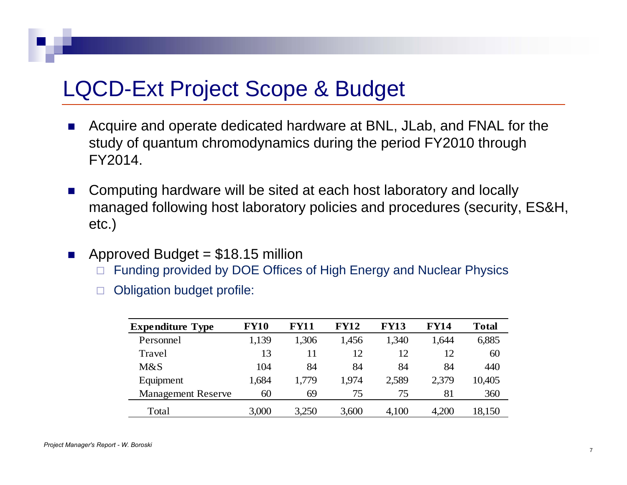### LQCD-Ext Project Scope & Budget

- $\mathcal{L}_{\mathcal{A}}$  Acquire and operate dedicated hardware at BNL, JLab, and FNAL for the study of quantum chromodynamics during the period FY2010 through FY2014.
- $\mathcal{O}(\mathcal{O}_\mathcal{O})$  . Computing hardware will be sited at each host laboratory and locally managed following host laboratory policies and procedures (security, ES&H, etc.)
- $\sim 100$  Approved Budget = \$18.15 million
	- $\Box$ Funding provided by DOE Offices of High Energy and Nuclear Physics
	- $\Box$ Obligation budget profile:

| <b>Expenditure Type</b>   | <b>FY10</b> | <b>FY11</b> | <b>FY12</b> | <b>FY13</b> | <b>FY14</b> | <b>Total</b> |
|---------------------------|-------------|-------------|-------------|-------------|-------------|--------------|
| Personnel                 | 1,139       | 1,306       | 1,456       | 1,340       | 1,644       | 6,885        |
| Travel                    | 13          | 11          | 12          | 12          | 12          | 60           |
| M&S                       | 104         | 84          | 84          | 84          | 84          | 440          |
| Equipment                 | 1,684       | 1,779       | 1,974       | 2,589       | 2,379       | 10,405       |
| <b>Management Reserve</b> | 60          | 69          | 75          | 75          | 81          | 360          |
| Total                     | 3,000       | 3,250       | 3,600       | 4,100       | 4,200       | 18,150       |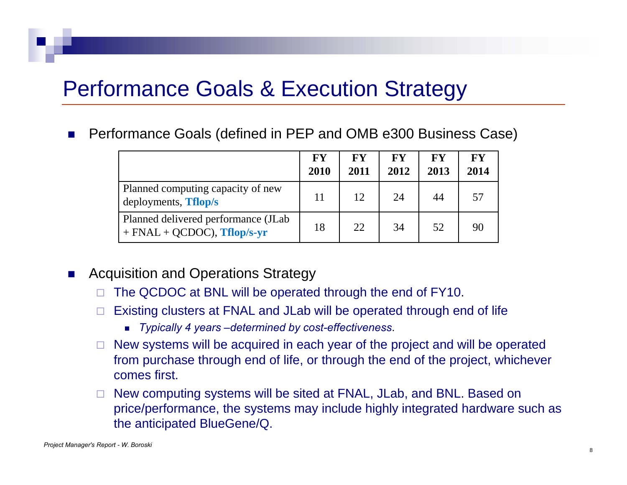### Performance Goals & Execution Strategy

×. Performance Goals (defined in PEP and OMB e300 Business Case)

|                                                                       | FY<br>2010 | <b>FY</b><br>2011 | <b>FY</b><br>2012 | <b>FY</b><br>2013 | <b>FY</b><br>2014 |
|-----------------------------------------------------------------------|------------|-------------------|-------------------|-------------------|-------------------|
| Planned computing capacity of new<br>deployments, <b>Tflop</b> /s     | 11         | 12                | 24                | 44                | 57                |
| Planned delivered performance (JLab)<br>$+$ FNAL + QCDOC), Tflop/s-yr | 18         | 22                | 34                | 52                | 90                |

- $\mathcal{L}^{\mathcal{L}}$  Acquisition and Operations Strategy
	- $\Box$ The QCDOC at BNL will be operated through the end of FY10.
	- $\Box$  Existing clusters at FNAL and JLab will be operated through end of life
		- *Typically 4 years –determined by cost-effectiveness*.
	- □ New systems will be acquired in each year of the project and will be operated from purchase through end of life, or through the end of the project, whichever comes first.
	- $\quad \Box \quad$  New computing systems will be sited at FNAL, JLab, and BNL. Based on price/performance, the systems may include highly integrated hardware such as the anticipated BlueGene/Q.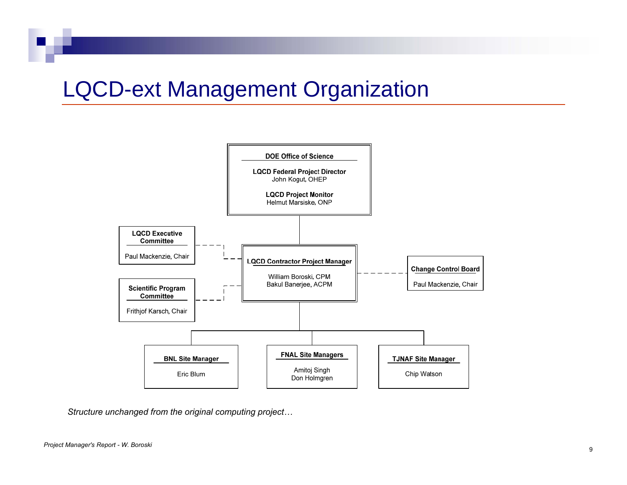## **LQCD-ext Management Organization**



*Structure unchanged from the original computing project…*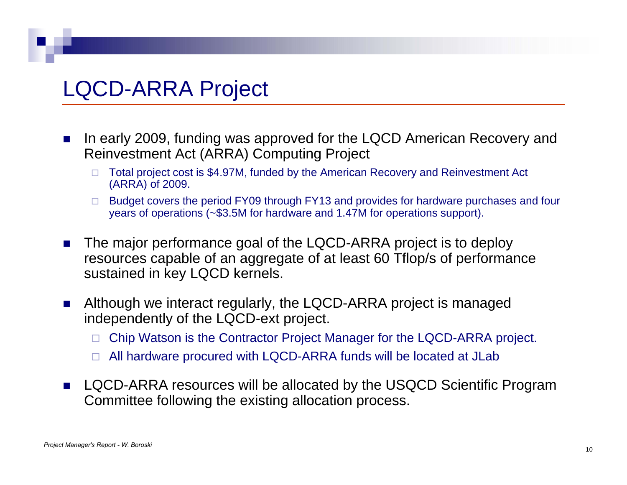## LQCD-ARRA Project

- $\mathcal{L}_{\mathcal{A}}$  In early 2009, funding was approved for the LQCD American Recovery and Reinvestment Act (ARRA) Computing Project
	- □ Total project cost is \$4.97M, funded by the American Recovery and Reinvestment Act (ARRA) of 2009.
	- □ Budget covers the period FY09 through FY13 and provides for hardware purchases and four years of operations (~\$3.5M for hardware and 1.47M for operations support).
- $\mathcal{L}_{\mathcal{A}}$  The major performance goal of the LQCD-ARRA project is to deploy resources capable of an aggregate of at least 60 Tflop/s of performance sustained in key LQCD kernels.
- $\mathcal{O}(\mathbb{R}^d)$  Although we interact regularly, the LQCD-ARRA project is managed independently of the LQCD-ext project.
	- □ Chip Watson is the Contractor Project Manager for the LQCD-ARRA project.
	- □ All hardware procured with LQCD-ARRA funds will be located at JLab
- $\mathcal{L}_{\mathcal{A}}$  LQCD-ARRA resources will be allocated by the USQCD Scientific Program Committee following the existing allocation process.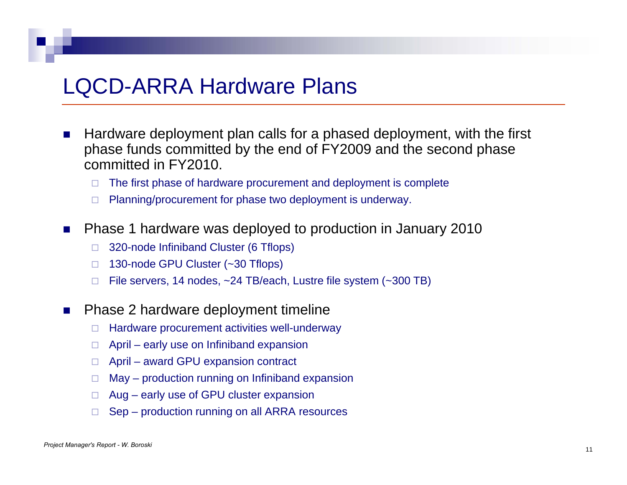#### **LQCD-ARRA Hardware Plans**

- $\mathcal{L}_{\mathcal{A}}$  Hardware deployment plan calls for a phased deployment, with the first phase funds committed by the end of FY2009 and the second phase committed in FY2010.
	- □ The first phase of hardware procurement and deployment is complete
	- $\Box$ Planning/procurement for phase two deployment is underway.
- $\mathcal{L}_{\mathcal{A}}$  Phase 1 hardware was deployed to production in January 2010
	- $\Box$ 320-node Infiniband Cluster (6 Tflops)
	- □ 130-node GPU Cluster (~30 Tflops)
	- $\Box$ File servers, 14 nodes, ~24 TB/each, Lustre file system (~300 TB)
- $\mathcal{L}_{\mathcal{A}}$  Phase 2 hardware deployment timeline
	- $\Box$ Hardware procurement activities well-underway
	- $\Box$ April – early use on Infiniband expansion
	- □ April award GPU expansion contract
	- $\Box$ May – production running on Infiniband expansion
	- Aug early use of GPU cluster expansion
	- $\Box$ Sep – production running on all ARRA resources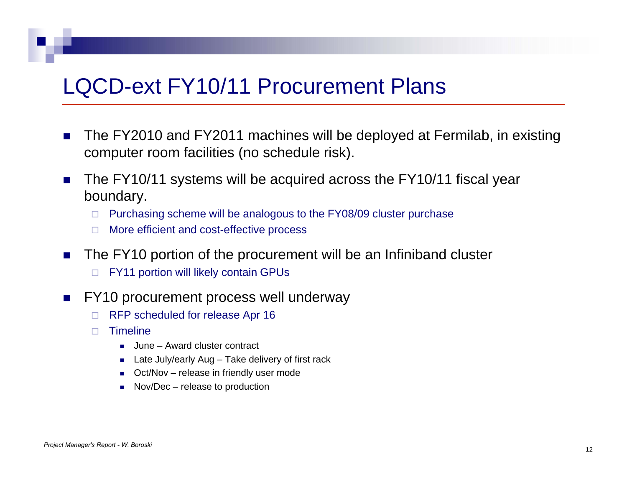#### LQCD-ext FY10/11 Procurement Plans

- $\mathcal{L}^{\mathcal{A}}$  The FY2010 and FY2011 machines will be deployed at Fermilab, in existing computer room facilities (no schedule risk).
- $\mathcal{L}_{\mathcal{A}}$  The FY10/11 systems will be acquired across the FY10/11 fiscal year boundary.
	- $\Box$  Purchasing scheme will be analogous to the FY08/09 cluster purchase
	- $\Box$ More efficient and cost-effective process
- $\sim 10$  The FY10 portion of the procurement will be an Infiniband cluster  $\Box$ FY11 portion will likely contain GPUs
- $\mathcal{L}_{\mathcal{A}}$  FY10 procurement process well underway
	- $\Box$ RFP scheduled for release Apr 16
	- $\Box$ **Timeline** 
		- June Award cluster contract
		- Late July/early Aug Take delivery of first rack
		- Oct/Nov release in friendly user mode
		- Nov/Dec release to production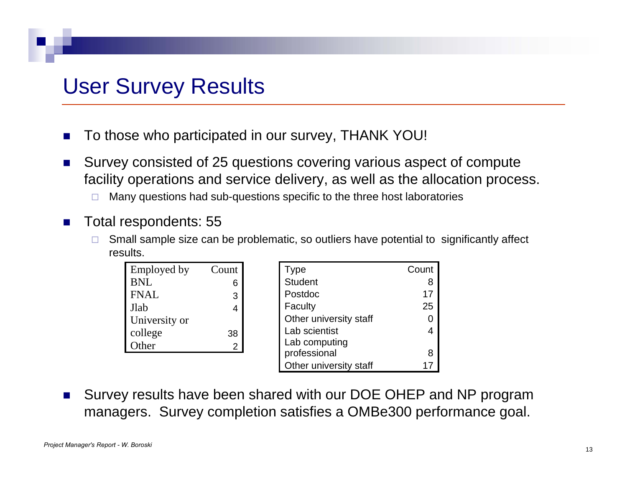### User Survey Results

- F. To those who participated in our survey, THANK YOU!
- $\mathbf{r}$  Survey consisted of 25 questions covering various aspect of compute facility operations and service delivery, as well as the allocation process.
	- □ Many questions had sub-questions specific to the three host laboratories
- **College**  Total respondents: 55
	- $\Box$  Small sample size can be problematic, so outliers have potential to significantly affect results.

| Employed by   | Count |
|---------------|-------|
| BNL           | 6     |
| <b>FNAL</b>   | 3     |
| Jlab          | 4     |
| University or |       |
| college       | 38    |
| Other         | 2     |
|               |       |

| Employed by   | Count          | Type                   | Count |
|---------------|----------------|------------------------|-------|
| BNL           | 6              | <b>Student</b>         | 8     |
| FNAL          | 3              | Postdoc                | 17    |
| Jlab          | 4              | Faculty                | 25    |
| University or |                | Other university staff |       |
| college       | 38             | Lab scientist          |       |
| Other         | $\overline{2}$ | Lab computing          |       |
|               |                | professional           |       |
|               |                | Other university staff |       |

 $\mathbf{r}$ ■ Survey results have been shared with our DOE OHEP and NP program managers. Survey completion satisfies a OMBe300 performance goal.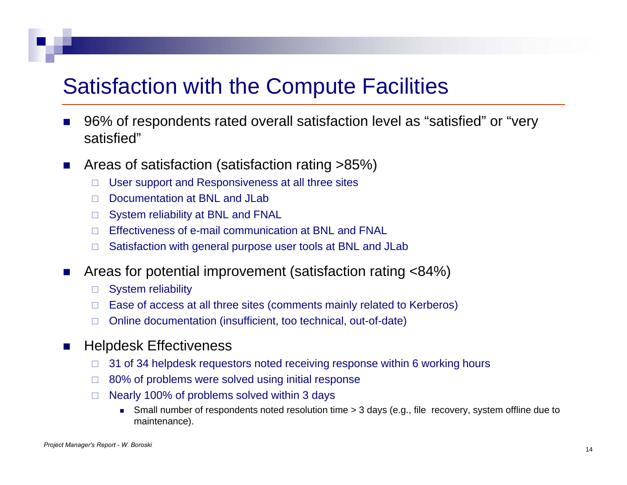### Satisfaction with the Compute Facilities

- F. 96% of respondents rated overall satisfaction level as "satisfied" or "very satisfied"
- $\mathcal{C}^{\mathcal{A}}$  Areas of satisfaction (satisfaction rating >85%)
	- $\Box$ User support and Responsiveness at all three sites
	- $\Box$ Documentation at BNL and JLab
	- $\Box$  System reliability at BNL and FNAL
	- □ Effectiveness of e-mail communication at BNL and FNAL
	- $\Box$ Satisfaction with general purpose user tools at BNL and JLab
- $\mathcal{L}_{\mathcal{A}}$  Areas for potential improvement (satisfaction rating <84%)
	- $\Box$ System reliability
	- $\Box$  Ease of access at all three sites (comments mainly related to Kerberos)
	- $\Box$ Online documentation (insufficient, too technical, out-of-date)
- $\mathcal{C}^{\mathcal{A}}$  Helpdesk Effectiveness
	- $\Box$ 31 of 34 helpdesk requestors noted receiving response within 6 working hours
	- $\Box$ 80% of problems were solved using initial response
	- $\Box$  Nearly 100% of problems solved within 3 days
		- Small number of respondents noted resolution time > 3 days (e.g., file recovery, system offline due to maintenance).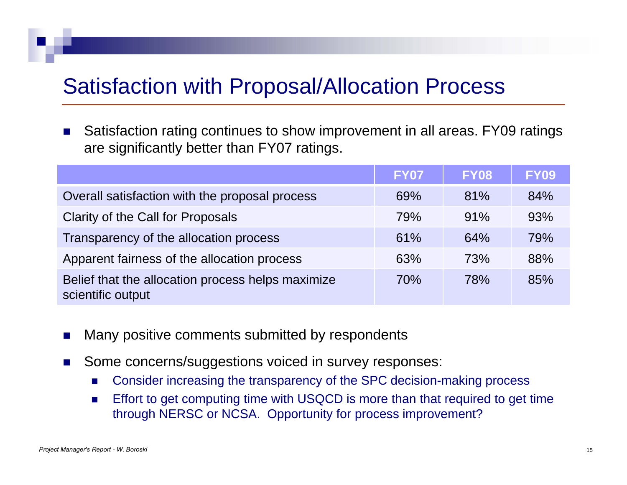### Satisfaction with Proposal/Allocation Process

 $\mathbf{r}$  Satisfaction rating continues to show improvement in all areas. FY09 ratings are significantly better than FY07 ratings.

|                                                                        | <b>FY07</b> | <b>FY08</b> | <b>FY09</b> |
|------------------------------------------------------------------------|-------------|-------------|-------------|
| Overall satisfaction with the proposal process                         | 69%         | 81%         | 84%         |
| Clarity of the Call for Proposals                                      | 79%         | 91%         | 93%         |
| Transparency of the allocation process                                 | 61%         | 64%         | 79%         |
| Apparent fairness of the allocation process                            | 63%         | 73%         | 88%         |
| Belief that the allocation process helps maximize<br>scientific output | 70%         | <b>78%</b>  | 85%         |

- $\mathcal{L}_{\mathcal{A}}$ Many positive comments submitted by respondents
- $\mathcal{L}_{\mathcal{A}}$  Some concerns/suggestions voiced in survey responses:
	- $\mathcal{L}_{\mathcal{A}}$ Consider increasing the transparency of the SPC decision-making process
	- **Effort to get computing time with USQCD is more than that required to get time**  $\mathcal{L}_{\mathcal{A}}$ through NERSC or NCSA. Opportunity for process improvement?